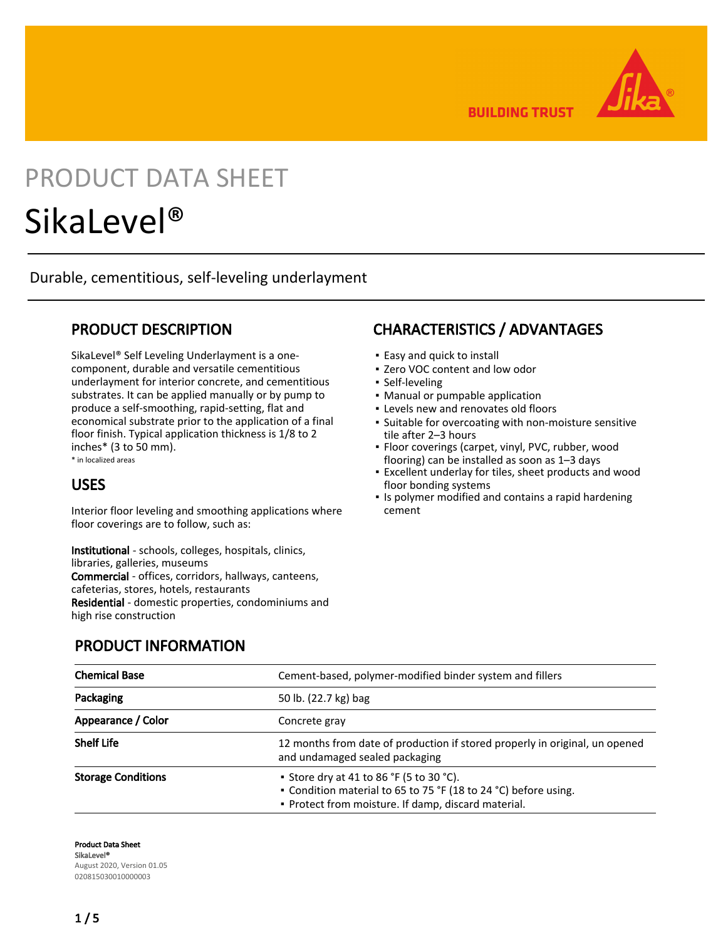**BUILDING TRUST** 



# PRODUCT DATA SHEET

## SikaLevel®

Durable, cementitious, self-leveling underlayment

## PRODUCT DESCRIPTION

SikaLevel® Self Leveling Underlayment is a onecomponent, durable and versatile cementitious underlayment for interior concrete, and cementitious substrates. It can be applied manually or by pump to produce a self-smoothing, rapid-setting, flat and economical substrate prior to the application of a final floor finish. Typical application thickness is 1/8 to 2 inches\* (3 to 50 mm). \* in localized areas

USES

Interior floor leveling and smoothing applications where floor coverings are to follow, such as:

Institutional - schools, colleges, hospitals, clinics, libraries, galleries, museums Commercial - offices, corridors, hallways, canteens, cafeterias, stores, hotels, restaurants Residential - domestic properties, condominiums and high rise construction

## CHARACTERISTICS / ADVANTAGES

- Easy and quick to install
- Zero VOC content and low odor
- **· Self-leveling**
- Manual or pumpable application
- Levels new and renovates old floors
- **·** Suitable for overcoating with non-moisture sensitive tile after 2–3 hours
- **·** Floor coverings (carpet, vinyl, PVC, rubber, wood flooring) can be installed as soon as 1–3 days
- Excellent underlay for tiles, sheet products and wood floor bonding systems
- **.** Is polymer modified and contains a rapid hardening cement

## PRODUCT INFORMATION

| <b>Chemical Base</b>      | Cement-based, polymer-modified binder system and fillers                                                                                                           |
|---------------------------|--------------------------------------------------------------------------------------------------------------------------------------------------------------------|
| Packaging                 | 50 lb. (22.7 kg) bag                                                                                                                                               |
| Appearance / Color        | Concrete gray                                                                                                                                                      |
| <b>Shelf Life</b>         | 12 months from date of production if stored properly in original, un opened<br>and undamaged sealed packaging                                                      |
| <b>Storage Conditions</b> | • Store dry at 41 to 86 °F (5 to 30 °C).<br>• Condition material to 65 to 75 °F (18 to 24 °C) before using.<br>• Protect from moisture. If damp, discard material. |

Product Data Sheet SikaLevel® August 2020, Version 01.05 020815030010000003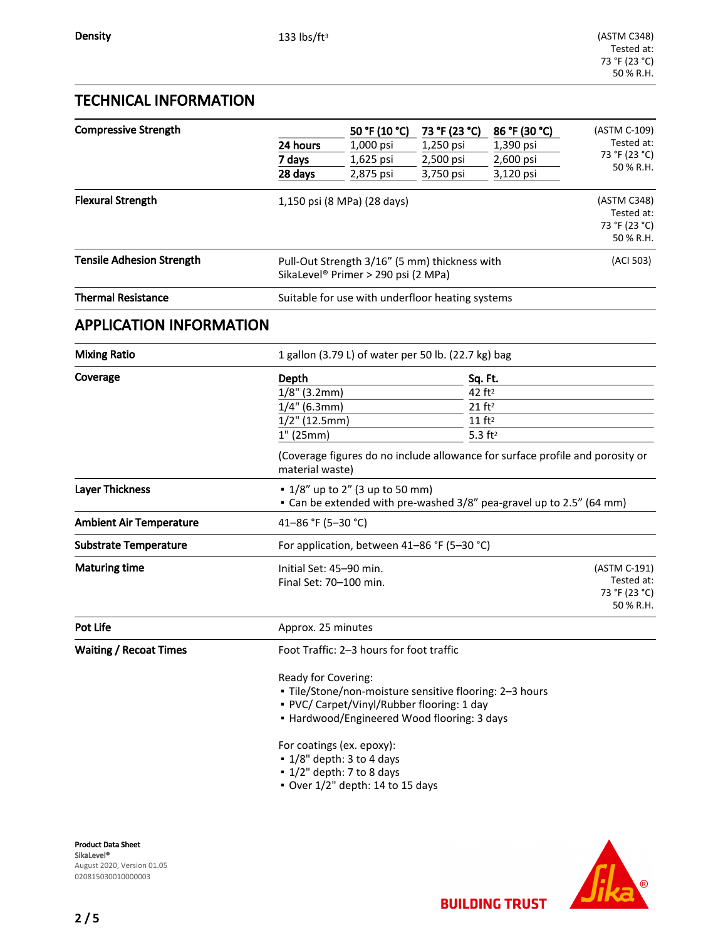## TECHNICAL INFORMATION

| <b>Compressive Strength</b>      | 24 hours<br>7 days                                                                                                                                                                                                                                                                                                                                     | 50 °F (10 °C)<br>1,000 psi<br>1,625 psi | 73 °F (23 °C)<br>1,250 psi<br>2,500 psi | 86 °F (30 °C)<br>1,390 psi<br>2,600 psi                                                                                                                                                 | (ASTM C-109)<br>Tested at:<br>73 °F (23 °C)<br>50 % R.H. |  |
|----------------------------------|--------------------------------------------------------------------------------------------------------------------------------------------------------------------------------------------------------------------------------------------------------------------------------------------------------------------------------------------------------|-----------------------------------------|-----------------------------------------|-----------------------------------------------------------------------------------------------------------------------------------------------------------------------------------------|----------------------------------------------------------|--|
|                                  | 28 days                                                                                                                                                                                                                                                                                                                                                | 2,875 psi                               | 3,750 psi                               | 3,120 psi                                                                                                                                                                               |                                                          |  |
| <b>Flexural Strength</b>         | 1,150 psi (8 MPa) (28 days)                                                                                                                                                                                                                                                                                                                            |                                         |                                         |                                                                                                                                                                                         | (ASTM C348)<br>Tested at:<br>73 °F (23 °C)<br>50 % R.H.  |  |
| <b>Tensile Adhesion Strength</b> | Pull-Out Strength 3/16" (5 mm) thickness with<br>SikaLevel <sup>®</sup> Primer > 290 psi (2 MPa)                                                                                                                                                                                                                                                       | (ACI 503)                               |                                         |                                                                                                                                                                                         |                                                          |  |
| <b>Thermal Resistance</b>        | Suitable for use with underfloor heating systems                                                                                                                                                                                                                                                                                                       |                                         |                                         |                                                                                                                                                                                         |                                                          |  |
| <b>APPLICATION INFORMATION</b>   |                                                                                                                                                                                                                                                                                                                                                        |                                         |                                         |                                                                                                                                                                                         |                                                          |  |
| <b>Mixing Ratio</b>              | 1 gallon (3.79 L) of water per 50 lb. (22.7 kg) bag                                                                                                                                                                                                                                                                                                    |                                         |                                         |                                                                                                                                                                                         |                                                          |  |
| Coverage                         | Depth<br>$1/8"$ (3.2mm)<br>$1/4"$ (6.3mm)<br>$1/2$ " (12.5mm)<br>$1"$ (25mm)<br>material waste)                                                                                                                                                                                                                                                        |                                         |                                         | Sq. Ft.<br>42 ft <sup>2</sup><br>$21$ ft <sup>2</sup><br>$11$ ft <sup>2</sup><br>$5.3$ ft <sup>2</sup><br>(Coverage figures do no include allowance for surface profile and porosity or |                                                          |  |
| <b>Layer Thickness</b>           | • 1/8" up to 2" (3 up to 50 mm)<br>• Can be extended with pre-washed 3/8" pea-gravel up to 2.5" (64 mm)                                                                                                                                                                                                                                                |                                         |                                         |                                                                                                                                                                                         |                                                          |  |
| <b>Ambient Air Temperature</b>   | 41-86 °F (5-30 °C)                                                                                                                                                                                                                                                                                                                                     |                                         |                                         |                                                                                                                                                                                         |                                                          |  |
| <b>Substrate Temperature</b>     | For application, between 41-86 °F (5-30 °C)                                                                                                                                                                                                                                                                                                            |                                         |                                         |                                                                                                                                                                                         |                                                          |  |
| <b>Maturing time</b>             | Initial Set: 45-90 min.<br>Final Set: 70-100 min.                                                                                                                                                                                                                                                                                                      |                                         |                                         |                                                                                                                                                                                         | (ASTM C-191)<br>Tested at:<br>73 °F (23 °C)<br>50 % R.H. |  |
| Pot Life                         | Approx. 25 minutes                                                                                                                                                                                                                                                                                                                                     |                                         |                                         |                                                                                                                                                                                         |                                                          |  |
| <b>Waiting / Recoat Times</b>    | Foot Traffic: 2-3 hours for foot traffic<br>Ready for Covering:<br>- Tile/Stone/non-moisture sensitive flooring: 2-3 hours<br>• PVC/ Carpet/Vinyl/Rubber flooring: 1 day<br>• Hardwood/Engineered Wood flooring: 3 days<br>For coatings (ex. epoxy):<br>• 1/8" depth: 3 to 4 days<br>$\cdot$ 1/2" depth: 7 to 8 days<br>Over 1/2" depth: 14 to 15 days |                                         |                                         |                                                                                                                                                                                         |                                                          |  |
|                                  |                                                                                                                                                                                                                                                                                                                                                        |                                         |                                         |                                                                                                                                                                                         |                                                          |  |

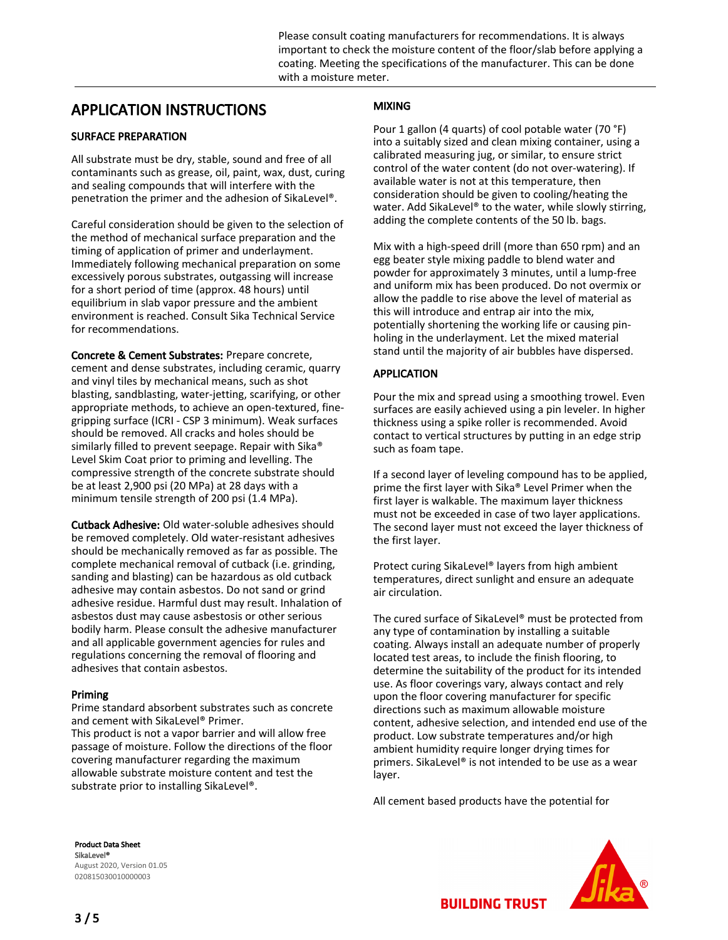## APPLICATION INSTRUCTIONS

#### SURFACE PREPARATION

All substrate must be dry, stable, sound and free of all contaminants such as grease, oil, paint, wax, dust, curing and sealing compounds that will interfere with the penetration the primer and the adhesion of SikaLevel®.

Careful consideration should be given to the selection of the method of mechanical surface preparation and the timing of application of primer and underlayment. Immediately following mechanical preparation on some excessively porous substrates, outgassing will increase for a short period of time (approx. 48 hours) until equilibrium in slab vapor pressure and the ambient environment is reached. Consult Sika Technical Service for recommendations.

Concrete & Cement Substrates: Prepare concrete, cement and dense substrates, including ceramic, quarry and vinyl tiles by mechanical means, such as shot blasting, sandblasting, water-jetting, scarifying, or other appropriate methods, to achieve an open-textured, finegripping surface (ICRI - CSP 3 minimum). Weak surfaces should be removed. All cracks and holes should be similarly filled to prevent seepage. Repair with Sika® Level Skim Coat prior to priming and levelling. The compressive strength of the concrete substrate should be at least 2,900 psi (20 MPa) at 28 days with a minimum tensile strength of 200 psi (1.4 MPa).

Cutback Adhesive: Old water-soluble adhesives should be removed completely. Old water-resistant adhesives should be mechanically removed as far as possible. The complete mechanical removal of cutback (i.e. grinding, sanding and blasting) can be hazardous as old cutback adhesive may contain asbestos. Do not sand or grind adhesive residue. Harmful dust may result. Inhalation of asbestos dust may cause asbestosis or other serious bodily harm. Please consult the adhesive manufacturer and all applicable government agencies for rules and regulations concerning the removal of flooring and adhesives that contain asbestos.

#### Priming

Prime standard absorbent substrates such as concrete and cement with SikaLevel® Primer. This product is not a vapor barrier and will allow free passage of moisture. Follow the directions of the floor covering manufacturer regarding the maximum allowable substrate moisture content and test the substrate prior to installing SikaLevel®.

### MIXING

Pour 1 gallon (4 quarts) of cool potable water (70 °F) into a suitably sized and clean mixing container, using a calibrated measuring jug, or similar, to ensure strict control of the water content (do not over-watering). If available water is not at this temperature, then consideration should be given to cooling/heating the water. Add SikaLevel® to the water, while slowly stirring, adding the complete contents of the 50 lb. bags.

Mix with a high-speed drill (more than 650 rpm) and an egg beater style mixing paddle to blend water and powder for approximately 3 minutes, until a lump-free and uniform mix has been produced. Do not overmix or allow the paddle to rise above the level of material as this will introduce and entrap air into the mix, potentially shortening the working life or causing pinholing in the underlayment. Let the mixed material stand until the majority of air bubbles have dispersed.

#### APPLICATION

Pour the mix and spread using a smoothing trowel. Even surfaces are easily achieved using a pin leveler. In higher thickness using a spike roller is recommended. Avoid contact to vertical structures by putting in an edge strip such as foam tape.

If a second layer of leveling compound has to be applied, prime the first layer with Sika® Level Primer when the first layer is walkable. The maximum layer thickness must not be exceeded in case of two layer applications. The second layer must not exceed the layer thickness of the first layer.

Protect curing SikaLevel® layers from high ambient temperatures, direct sunlight and ensure an adequate air circulation.

The cured surface of SikaLevel® must be protected from any type of contamination by installing a suitable coating. Always install an adequate number of properly located test areas, to include the finish flooring, to determine the suitability of the product for its intended use. As floor coverings vary, always contact and rely upon the floor covering manufacturer for specific directions such as maximum allowable moisture content, adhesive selection, and intended end use of the product. Low substrate temperatures and/or high ambient humidity require longer drying times for primers. SikaLevel® is not intended to be use as a wear layer.

All cement based products have the potential for

Product Data Sheet SikaLevel® August 2020, Version 01.05 020815030010000003



**BUILDING TRUST**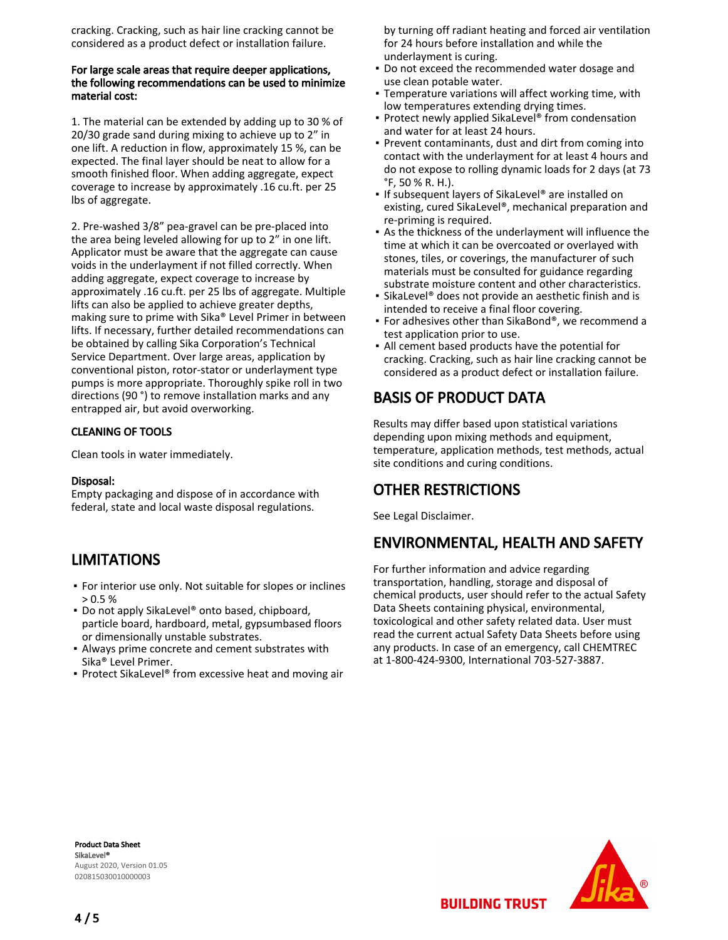cracking. Cracking, such as hair line cracking cannot be considered as a product defect or installation failure.

#### For large scale areas that require deeper applications, the following recommendations can be used to minimize material cost:

1. The material can be extended by adding up to 30 % of 20/30 grade sand during mixing to achieve up to 2" in one lift. A reduction in flow, approximately 15 %, can be expected. The final layer should be neat to allow for a smooth finished floor. When adding aggregate, expect coverage to increase by approximately .16 cu.ft. per 25 lbs of aggregate.

2. Pre-washed 3/8" pea-gravel can be pre-placed into the area being leveled allowing for up to 2" in one lift. Applicator must be aware that the aggregate can cause voids in the underlayment if not filled correctly. When adding aggregate, expect coverage to increase by approximately .16 cu.ft. per 25 lbs of aggregate. Multiple lifts can also be applied to achieve greater depths, making sure to prime with Sika® Level Primer in between lifts. If necessary, further detailed recommendations can be obtained by calling Sika Corporation's Technical Service Department. Over large areas, application by conventional piston, rotor-stator or underlayment type pumps is more appropriate. Thoroughly spike roll in two directions (90 °) to remove installation marks and any entrapped air, but avoid overworking.

#### CLEANING OF TOOLS

Clean tools in water immediately.

#### Disposal:

Empty packaging and dispose of in accordance with federal, state and local waste disposal regulations.

## LIMITATIONS

- **For interior use only. Not suitable for slopes or inclines**  $> 0.5 \%$
- Do not apply SikaLevel® onto based, chipboard, particle board, hardboard, metal, gypsumbased floors or dimensionally unstable substrates.
- Always prime concrete and cement substrates with Sika® Level Primer.
- Protect SikaLevel<sup>®</sup> from excessive heat and moving air

by turning off radiant heating and forced air ventilation for 24 hours before installation and while the underlayment is curing.

- Do not exceed the recommended water dosage and use clean potable water.
- Temperature variations will affect working time, with low temperatures extending drying times.
- Protect newly applied SikaLevel® from condensation and water for at least 24 hours.
- Prevent contaminants, dust and dirt from coming into contact with the underlayment for at least 4 hours and do not expose to rolling dynamic loads for 2 days (at 73 °F, 50 % R. H.).
- **.** If subsequent layers of SikaLevel<sup>®</sup> are installed on existing, cured SikaLevel®, mechanical preparation and re-priming is required.
- As the thickness of the underlayment will influence the time at which it can be overcoated or overlayed with stones, tiles, or coverings, the manufacturer of such materials must be consulted for guidance regarding substrate moisture content and other characteristics.
- SikaLevel® does not provide an aesthetic finish and is intended to receive a final floor covering.
- For adhesives other than SikaBond®, we recommend a test application prior to use.
- All cement based products have the potential for cracking. Cracking, such as hair line cracking cannot be considered as a product defect or installation failure.

## BASIS OF PRODUCT DATA

Results may differ based upon statistical variations depending upon mixing methods and equipment, temperature, application methods, test methods, actual site conditions and curing conditions.

## OTHER RESTRICTIONS

See Legal Disclaimer.

## ENVIRONMENTAL, HEALTH AND SAFETY

For further information and advice regarding transportation, handling, storage and disposal of chemical products, user should refer to the actual Safety Data Sheets containing physical, environmental, toxicological and other safety related data. User must read the current actual Safety Data Sheets before using any products. In case of an emergency, call CHEMTREC at 1-800-424-9300, International 703-527-3887.

Product Data Sheet SikaLevel® August 2020, Version 01.05 020815030010000003



**BUILDING TRUST**